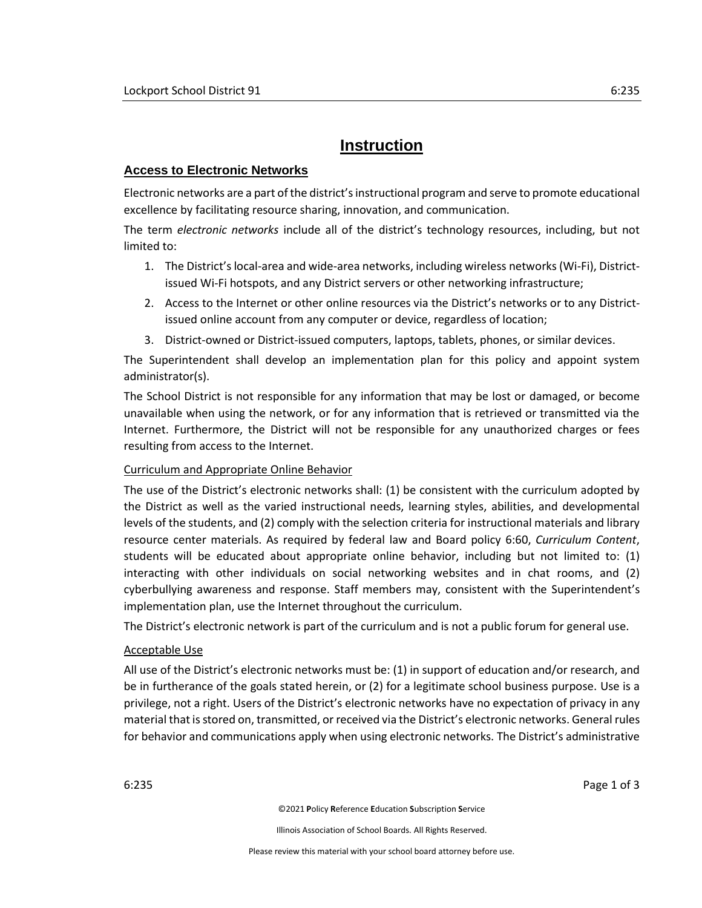# **Instruction**

## **Access to Electronic Networks**

Electronic networks are a part of the district's instructional program and serve to promote educational excellence by facilitating resource sharing, innovation, and communication.

The term *electronic networks* include all of the district's technology resources, including, but not limited to:

- 1. The District's local-area and wide-area networks, including wireless networks (Wi-Fi), Districtissued Wi-Fi hotspots, and any District servers or other networking infrastructure;
- 2. Access to the Internet or other online resources via the District's networks or to any Districtissued online account from any computer or device, regardless of location;
- 3. District-owned or District-issued computers, laptops, tablets, phones, or similar devices.

The Superintendent shall develop an implementation plan for this policy and appoint system administrator(s).

The School District is not responsible for any information that may be lost or damaged, or become unavailable when using the network, or for any information that is retrieved or transmitted via the Internet. Furthermore, the District will not be responsible for any unauthorized charges or fees resulting from access to the Internet.

## Curriculum and Appropriate Online Behavior

The use of the District's electronic networks shall: (1) be consistent with the curriculum adopted by the District as well as the varied instructional needs, learning styles, abilities, and developmental levels of the students, and (2) comply with the selection criteria for instructional materials and library resource center materials. As required by federal law and Board policy 6:60, *Curriculum Content*, students will be educated about appropriate online behavior, including but not limited to: (1) interacting with other individuals on social networking websites and in chat rooms, and (2) cyberbullying awareness and response. Staff members may, consistent with the Superintendent's implementation plan, use the Internet throughout the curriculum.

The District's electronic network is part of the curriculum and is not a public forum for general use.

## Acceptable Use

All use of the District's electronic networks must be: (1) in support of education and/or research, and be in furtherance of the goals stated herein, or (2) for a legitimate school business purpose. Use is a privilege, not a right. Users of the District's electronic networks have no expectation of privacy in any material that is stored on, transmitted, or received via the District's electronic networks. General rules for behavior and communications apply when using electronic networks. The District's administrative

6:235 Page 1 of 3

©2021 **P**olicy **R**eference **E**ducation **S**ubscription **S**ervice

Illinois Association of School Boards. All Rights Reserved.

Please review this material with your school board attorney before use.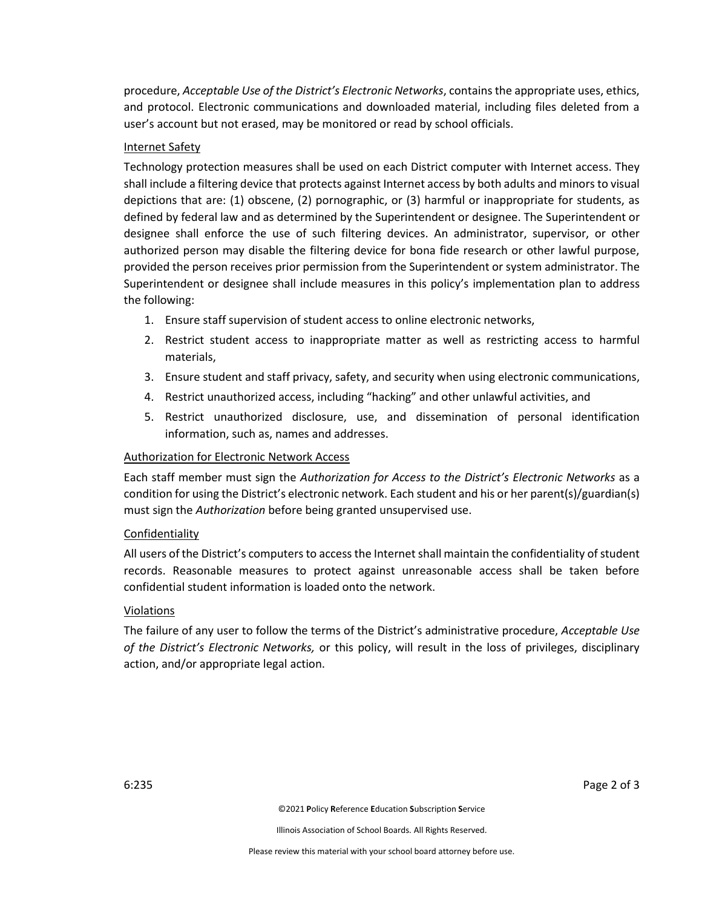procedure, *Acceptable Use of the District's Electronic Networks*, contains the appropriate uses, ethics, and protocol. Electronic communications and downloaded material, including files deleted from a user's account but not erased, may be monitored or read by school officials.

### Internet Safety

Technology protection measures shall be used on each District computer with Internet access. They shall include a filtering device that protects against Internet access by both adults and minors to visual depictions that are: (1) obscene, (2) pornographic, or (3) harmful or inappropriate for students, as defined by federal law and as determined by the Superintendent or designee. The Superintendent or designee shall enforce the use of such filtering devices. An administrator, supervisor, or other authorized person may disable the filtering device for bona fide research or other lawful purpose, provided the person receives prior permission from the Superintendent or system administrator. The Superintendent or designee shall include measures in this policy's implementation plan to address the following:

- 1. Ensure staff supervision of student access to online electronic networks,
- 2. Restrict student access to inappropriate matter as well as restricting access to harmful materials,
- 3. Ensure student and staff privacy, safety, and security when using electronic communications,
- 4. Restrict unauthorized access, including "hacking" and other unlawful activities, and
- 5. Restrict unauthorized disclosure, use, and dissemination of personal identification information, such as, names and addresses.

#### Authorization for Electronic Network Access

Each staff member must sign the *Authorization for Access to the District's Electronic Networks* as a condition for using the District's electronic network. Each student and his or her parent(s)/guardian(s) must sign the *Authorization* before being granted unsupervised use.

#### Confidentiality

All users of the District's computers to accessthe Internet shall maintain the confidentiality of student records. Reasonable measures to protect against unreasonable access shall be taken before confidential student information is loaded onto the network.

#### **Violations**

The failure of any user to follow the terms of the District's administrative procedure, *Acceptable Use of the District's Electronic Networks,* or this policy, will result in the loss of privileges, disciplinary action, and/or appropriate legal action.